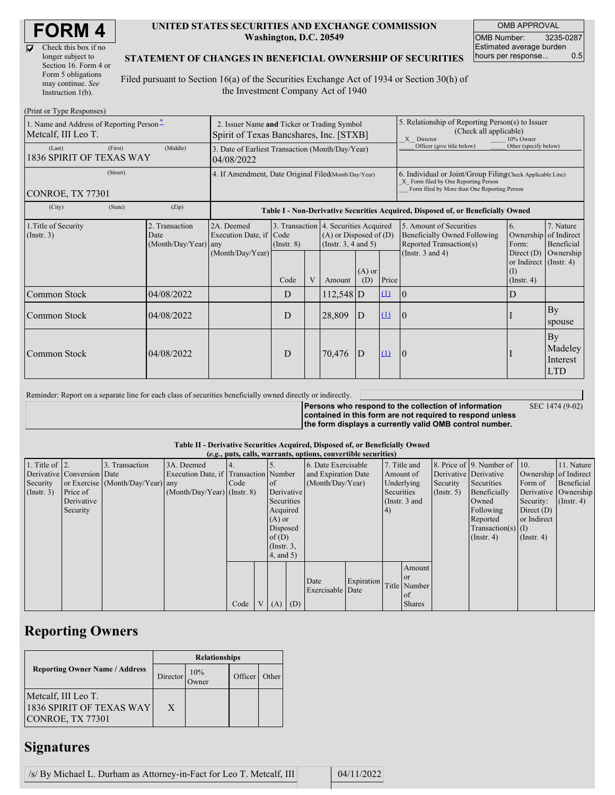| Check this box if no  |
|-----------------------|
| longer subject to     |
| Section 16. Form 4 or |
| Form 5 obligations    |
| may continue. See     |
| Instruction 1(b).     |

 $(Drint or Trma B)$ 

#### **UNITED STATES SECURITIES AND EXCHANGE COMMISSION Washington, D.C. 20549**

OMB APPROVAL OMB Number: 3235-0287 Estimated average burden hours per response... 0.5

### **STATEMENT OF CHANGES IN BENEFICIAL OWNERSHIP OF SECURITIES**

Filed pursuant to Section 16(a) of the Securities Exchange Act of 1934 or Section 30(h) of the Investment Company Act of 1940

| $(1 \text{ min of 1 ypc 1.1365})$<br>1. Name and Address of Reporting Person-<br>Metcalf, III Leo T. | 2. Issuer Name and Ticker or Trading Symbol<br>Spirit of Texas Bancshares, Inc. [STXB]                                                                                                                        |                  |      |                                                                                                                |             |                                        | 5. Relationship of Reporting Person(s) to Issuer<br>(Check all applicable)<br>X Director<br>10% Owner                                              |                                                                                  |                                                                      |                                         |  |
|------------------------------------------------------------------------------------------------------|---------------------------------------------------------------------------------------------------------------------------------------------------------------------------------------------------------------|------------------|------|----------------------------------------------------------------------------------------------------------------|-------------|----------------------------------------|----------------------------------------------------------------------------------------------------------------------------------------------------|----------------------------------------------------------------------------------|----------------------------------------------------------------------|-----------------------------------------|--|
| (First)<br>(Last)<br>1836 SPIRIT OF TEXAS WAY                                                        | 3. Date of Earliest Transaction (Month/Day/Year)<br>04/08/2022                                                                                                                                                |                  |      |                                                                                                                |             |                                        | Officer (give title below)                                                                                                                         | Other (specify below)                                                            |                                                                      |                                         |  |
| (Street)<br>CONROE, TX 77301                                                                         | 4. If Amendment, Date Original Filed Month/Day/Year)                                                                                                                                                          |                  |      |                                                                                                                |             |                                        | 6. Individual or Joint/Group Filing Check Applicable Line)<br>X Form filed by One Reporting Person<br>Form filed by More than One Reporting Person |                                                                                  |                                                                      |                                         |  |
| (City)<br>(State)                                                                                    | (Zip)                                                                                                                                                                                                         |                  |      |                                                                                                                |             |                                        |                                                                                                                                                    | Table I - Non-Derivative Securities Acquired, Disposed of, or Beneficially Owned |                                                                      |                                         |  |
| 1. Title of Security<br>(Insert. 3)                                                                  | 3. Transaction 4. Securities Acquired<br>2. Transaction<br>2A. Deemed<br>Execution Date, if Code<br>$(A)$ or Disposed of $(D)$<br>Date<br>(Month/Day/Year) any<br>(Instr. $3, 4$ and $5$ )<br>$($ Instr. $8)$ |                  |      | 5. Amount of Securities<br>6.<br>Beneficially Owned Following<br>Ownership<br>Reported Transaction(s)<br>Form: |             | 7. Nature<br>of Indirect<br>Beneficial |                                                                                                                                                    |                                                                                  |                                                                      |                                         |  |
|                                                                                                      |                                                                                                                                                                                                               | (Month/Day/Year) | Code | V                                                                                                              | Amount      | $(A)$ or<br>(D)                        | Price                                                                                                                                              | (Instr. $3$ and $4$ )                                                            | Direct $(D)$<br>or Indirect $($ Instr. 4)<br>(I)<br>$($ Instr. 4 $)$ | Ownership                               |  |
| Common Stock                                                                                         | 04/08/2022                                                                                                                                                                                                    |                  | D    |                                                                                                                | $112,548$ D |                                        | $\Omega$                                                                                                                                           | $\overline{0}$                                                                   | D                                                                    |                                         |  |
| Common Stock                                                                                         | 04/08/2022                                                                                                                                                                                                    |                  | D    |                                                                                                                | 28,809      | D                                      | (1)                                                                                                                                                | 0                                                                                |                                                                      | By<br>spouse                            |  |
| Common Stock                                                                                         | 04/08/2022                                                                                                                                                                                                    |                  | D    |                                                                                                                | 70,476      | D                                      | $\Omega$                                                                                                                                           | 10                                                                               |                                                                      | By<br>Madeley<br>Interest<br><b>LTD</b> |  |

Reminder: Report on a separate line for each class of securities beneficially owned directly or indirectly. **Persons who respond to the collection of information**

SEC 1474 (9-02)

**contained in this form are not required to respond unless the form displays a currently valid OMB control number.**

#### **Table II - Derivative Securities Acquired, Disposed of, or Beneficially Owned**

|                        | (e.g., puts, calls, warrants, options, convertible securities) |                                  |                                       |      |                |                 |                     |                     |            |            |                       |            |                              |                       |              |           |                      |
|------------------------|----------------------------------------------------------------|----------------------------------|---------------------------------------|------|----------------|-----------------|---------------------|---------------------|------------|------------|-----------------------|------------|------------------------------|-----------------------|--------------|-----------|----------------------|
| 1. Title of $\vert$ 2. |                                                                | 3. Transaction                   | 3A. Deemed                            |      |                |                 |                     | 6. Date Exercisable |            |            | 7. Title and          |            | 8. Price of 9. Number of 10. |                       | 11. Nature   |           |                      |
|                        | Derivative Conversion Date                                     |                                  | Execution Date, if Transaction Number |      |                |                 | and Expiration Date |                     | Amount of  |            | Derivative Derivative |            |                              | Ownership of Indirect |              |           |                      |
| Security               |                                                                | or Exercise (Month/Day/Year) any |                                       | Code |                | of              |                     | (Month/Day/Year)    |            | Underlying |                       | Security   | Securities                   | Form of               | Beneficial   |           |                      |
| (Insert. 3)            | Price of                                                       |                                  | $(Month/Day/Year)$ (Instr. 8)         |      |                | Derivative      |                     |                     |            |            |                       | Securities |                              | $($ Instr. 5 $)$      | Beneficially |           | Derivative Ownership |
|                        | Derivative                                                     |                                  |                                       |      |                | Securities      |                     |                     |            |            |                       |            | (Instr. 3 and                |                       | Owned        | Security: | $($ Instr. 4)        |
|                        | Security                                                       |                                  |                                       |      |                | Acquired        |                     |                     |            | (4)        |                       |            | Following                    | Direct $(D)$          |              |           |                      |
|                        |                                                                |                                  |                                       |      |                | $(A)$ or        |                     |                     |            |            |                       |            | Reported                     | or Indirect           |              |           |                      |
|                        |                                                                |                                  |                                       |      |                | Disposed        |                     |                     |            |            |                       |            | $Transaction(s)$ (I)         |                       |              |           |                      |
|                        |                                                                |                                  |                                       |      |                | of(D)           |                     |                     |            |            |                       |            | $($ Instr. 4 $)$             | $($ Instr. 4 $)$      |              |           |                      |
|                        |                                                                |                                  |                                       |      |                | $($ Instr. $3,$ |                     |                     |            |            |                       |            |                              |                       |              |           |                      |
|                        |                                                                |                                  |                                       |      |                | 4, and 5)       |                     |                     |            |            |                       |            |                              |                       |              |           |                      |
|                        |                                                                |                                  |                                       |      |                |                 |                     |                     |            |            | Amount                |            |                              |                       |              |           |                      |
|                        |                                                                |                                  |                                       |      |                |                 |                     |                     |            |            | <sub>or</sub>         |            |                              |                       |              |           |                      |
|                        |                                                                |                                  |                                       |      |                |                 |                     | Date                | Expiration |            | Title Number          |            |                              |                       |              |           |                      |
|                        |                                                                |                                  |                                       |      |                |                 |                     | Exercisable Date    |            |            | $\alpha$ f            |            |                              |                       |              |           |                      |
|                        |                                                                |                                  |                                       | Code | V <sub>1</sub> | $(A)$ $(D)$     |                     |                     |            |            | <b>Shares</b>         |            |                              |                       |              |           |                      |

## **Reporting Owners**

|                                                                     | <b>Relationships</b> |              |         |       |  |  |  |
|---------------------------------------------------------------------|----------------------|--------------|---------|-------|--|--|--|
| <b>Reporting Owner Name / Address</b>                               | Director             | 10%<br>Owner | Officer | Other |  |  |  |
| Metcalf, III Leo T.<br>1836 SPIRIT OF TEXAS WAY<br>CONROE, TX 77301 | X                    |              |         |       |  |  |  |

# **Signatures**

| /s/ By Michael L. Durham as Attorney-in-Fact for Leo T. Metcalf, III |  | 04/11/2022 |
|----------------------------------------------------------------------|--|------------|
|----------------------------------------------------------------------|--|------------|